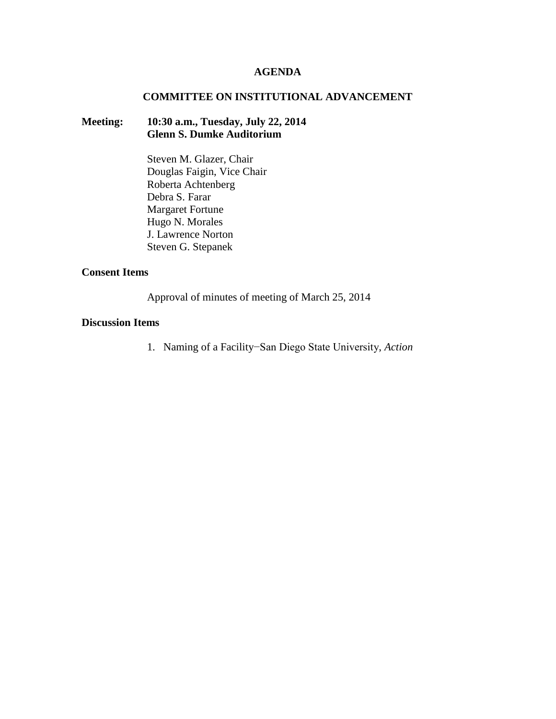## **AGENDA**

### **COMMITTEE ON INSTITUTIONAL ADVANCEMENT**

## **Meeting: 10:30 a.m., Tuesday, July 22, 2014 Glenn S. Dumke Auditorium**

Steven M. Glazer, Chair Douglas Faigin, Vice Chair Roberta Achtenberg Debra S. Farar Margaret Fortune Hugo N. Morales J. Lawrence Norton Steven G. Stepanek

## **Consent Items**

Approval of minutes of meeting of March 25, 2014

### **Discussion Items**

1. Naming of a Facility−San Diego State University, *Action*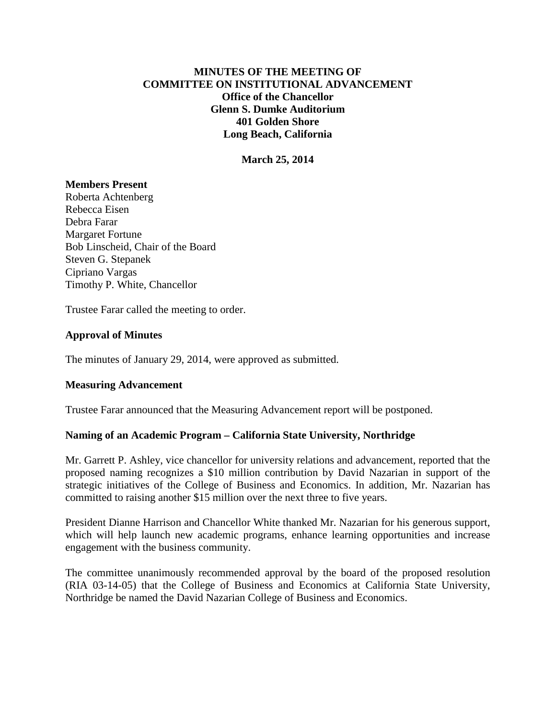# **MINUTES OF THE MEETING OF COMMITTEE ON INSTITUTIONAL ADVANCEMENT Office of the Chancellor Glenn S. Dumke Auditorium 401 Golden Shore Long Beach, California**

**March 25, 2014**

### **Members Present**

Roberta Achtenberg Rebecca Eisen Debra Farar Margaret Fortune Bob Linscheid, Chair of the Board Steven G. Stepanek Cipriano Vargas Timothy P. White, Chancellor

Trustee Farar called the meeting to order.

### **Approval of Minutes**

The minutes of January 29, 2014, were approved as submitted.

#### **Measuring Advancement**

Trustee Farar announced that the Measuring Advancement report will be postponed.

# **Naming of an Academic Program – California State University, Northridge**

Mr. Garrett P. Ashley, vice chancellor for university relations and advancement, reported that the proposed naming recognizes a \$10 million contribution by David Nazarian in support of the strategic initiatives of the College of Business and Economics. In addition, Mr. Nazarian has committed to raising another \$15 million over the next three to five years.

President Dianne Harrison and Chancellor White thanked Mr. Nazarian for his generous support, which will help launch new academic programs, enhance learning opportunities and increase engagement with the business community.

The committee unanimously recommended approval by the board of the proposed resolution (RIA 03-14-05) that the College of Business and Economics at California State University, Northridge be named the David Nazarian College of Business and Economics.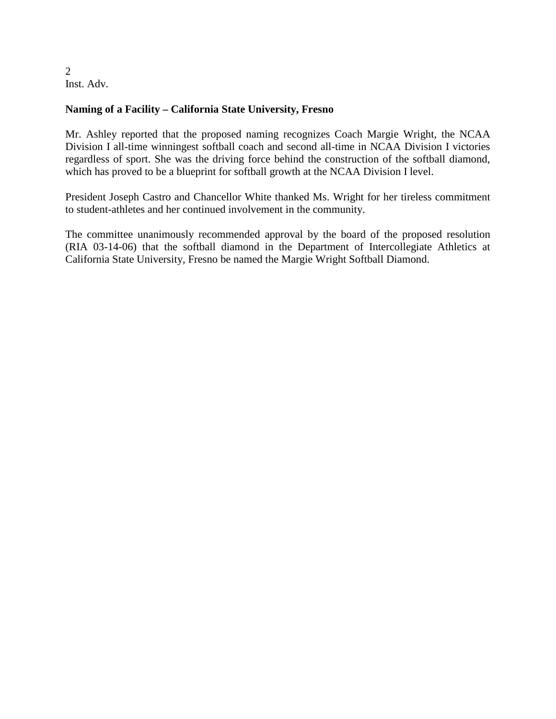2 Inst. Adv.

# **Naming of a Facility – California State University, Fresno**

Mr. Ashley reported that the proposed naming recognizes Coach Margie Wright, the NCAA Division I all-time winningest softball coach and second all-time in NCAA Division I victories regardless of sport. She was the driving force behind the construction of the softball diamond, which has proved to be a blueprint for softball growth at the NCAA Division I level.

President Joseph Castro and Chancellor White thanked Ms. Wright for her tireless commitment to student-athletes and her continued involvement in the community.

The committee unanimously recommended approval by the board of the proposed resolution (RIA 03-14-06) that the softball diamond in the Department of Intercollegiate Athletics at California State University, Fresno be named the Margie Wright Softball Diamond.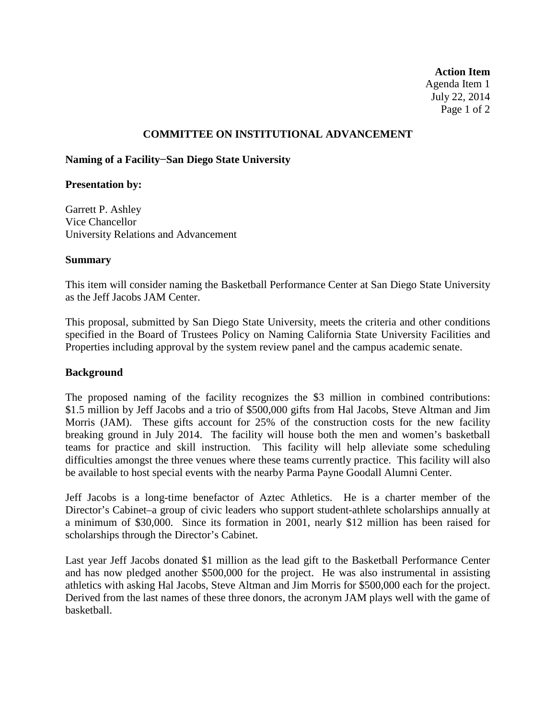**Action Item** Agenda Item 1 July 22, 2014 Page 1 of 2

## **COMMITTEE ON INSTITUTIONAL ADVANCEMENT**

## **Naming of a Facility−San Diego State University**

#### **Presentation by:**

Garrett P. Ashley Vice Chancellor University Relations and Advancement

### **Summary**

This item will consider naming the Basketball Performance Center at San Diego State University as the Jeff Jacobs JAM Center.

This proposal, submitted by San Diego State University, meets the criteria and other conditions specified in the Board of Trustees Policy on Naming California State University Facilities and Properties including approval by the system review panel and the campus academic senate.

#### **Background**

The proposed naming of the facility recognizes the \$3 million in combined contributions: \$1.5 million by Jeff Jacobs and a trio of \$500,000 gifts from Hal Jacobs, Steve Altman and Jim Morris (JAM). These gifts account for 25% of the construction costs for the new facility breaking ground in July 2014. The facility will house both the men and women's basketball teams for practice and skill instruction. This facility will help alleviate some scheduling difficulties amongst the three venues where these teams currently practice. This facility will also be available to host special events with the nearby Parma Payne Goodall Alumni Center.

Jeff Jacobs is a long-time benefactor of Aztec Athletics. He is a charter member of the Director's Cabinet–a group of civic leaders who support student-athlete scholarships annually at a minimum of \$30,000. Since its formation in 2001, nearly \$12 million has been raised for scholarships through the Director's Cabinet.

Last year Jeff Jacobs donated \$1 million as the lead gift to the Basketball Performance Center and has now pledged another \$500,000 for the project. He was also instrumental in assisting athletics with asking Hal Jacobs, Steve Altman and Jim Morris for \$500,000 each for the project. Derived from the last names of these three donors, the acronym JAM plays well with the game of basketball.